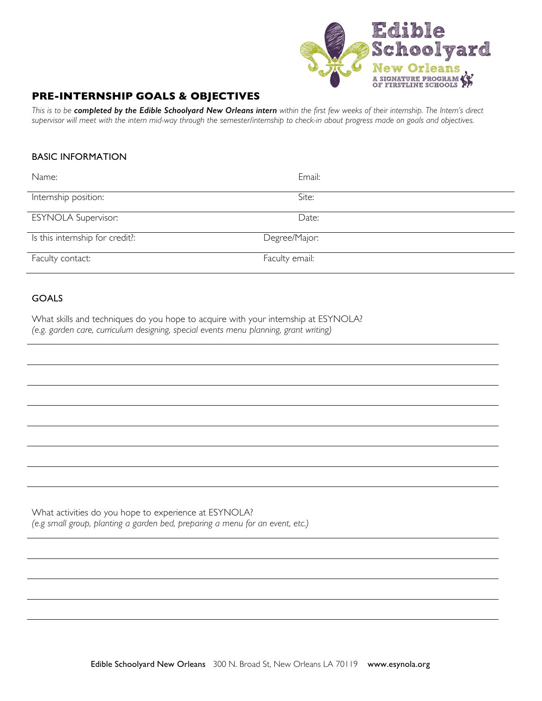

## **PRE-INTERNSHIP GOALS & OBJECTIVES**

This is to be completed by the Edible Schoolyard New Orleans intern within the first few weeks of their internship. The Intern's direct supervisor will meet with the intern mid-way through the semester/internship to check-in about progress made on goals and objectives.

## BASIC INFORMATION

| Name:                           | Email:         |
|---------------------------------|----------------|
| Internship position:            | Site:          |
| <b>ESYNOLA Supervisor:</b>      | Date:          |
| Is this internship for credit?: | Degree/Major:  |
| Faculty contact:                | Faculty email: |

## GOALS

What skills and techniques do you hope to acquire with your internship at ESYNOLA? *(e.g. garden care, curriculum designing, special events menu planning, grant writing)*

What activities do you hope to experience at ESYNOLA? *(e.g small group, planting a garden bed, preparing a menu for an event, etc.)*